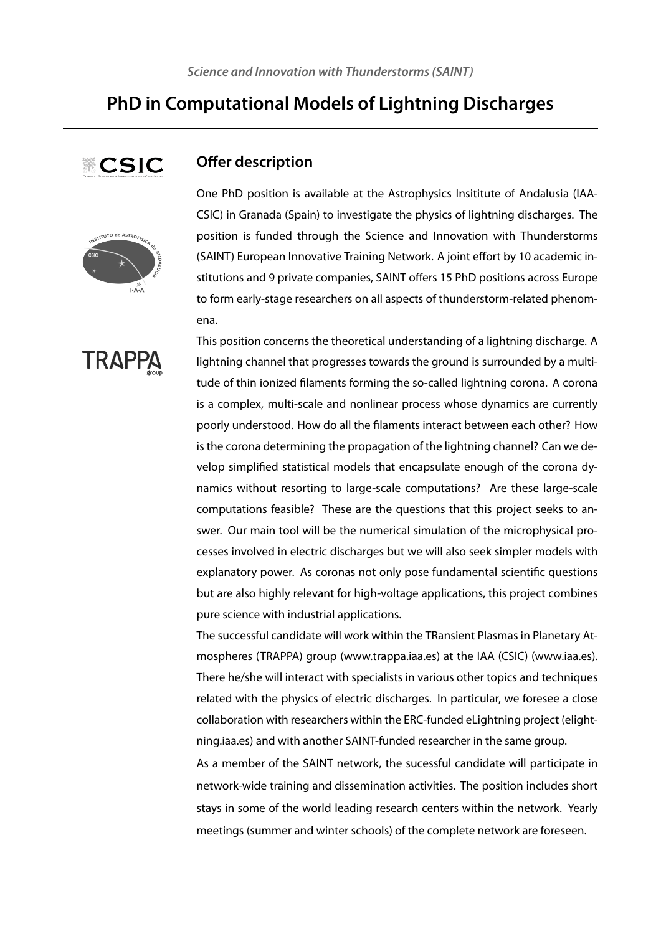# **PhD in Computational Models of Lightning Discharges**





**TRAPI** 



One PhD position is available at the Astrophysics Insititute of Andalusia (IAA-CSIC) in Granada (Spain) to investigate the physics of lightning discharges. The position is funded through the Science and Innovation with Thunderstorms (SAINT) European Innovative Training Network. A joint effort by 10 academic institutions and 9 private companies, SAINT offers 15 PhD positions across Europe to form early-stage researchers on all aspects of thunderstorm-related phenomena.

This position concerns the theoretical understanding of a lightning discharge. A lightning channel that progresses towards the ground is surrounded by a multitude of thin ionized filaments forming the so-called lightning corona. A corona is a complex, multi-scale and nonlinear process whose dynamics are currently poorly understood. How do all the filaments interact between each other? How is the corona determining the propagation of the lightning channel? Can we develop simplified statistical models that encapsulate enough of the corona dynamics without resorting to large-scale computations? Are these large-scale computations feasible? These are the questions that this project seeks to answer. Our main tool will be the numerical simulation of the microphysical processes involved in electric discharges but we will also seek simpler models with explanatory power. As coronas not only pose fundamental scientific questions but are also highly relevant for high-voltage applications, this project combines pure science with industrial applications.

The successful candidate will work within the TRansient Plasmas in Planetary Atmospheres (TRAPPA) group (www.trappa.iaa.es) at the IAA (CSIC) (www.iaa.es). There he/she will interact with specialists in various other topics and techniques related with the physics of electric discharges. In particular, we foresee a close collaboration with researchers within the ERC-funded eLightning project (elightning.iaa.es) and with another SAINT-funded researcher in the same group.

As a member of the SAINT network, the sucessful candidate will participate in network-wide training and dissemination activities. The position includes short stays in some of the world leading research centers within the network. Yearly meetings (summer and winter schools) of the complete network are foreseen.